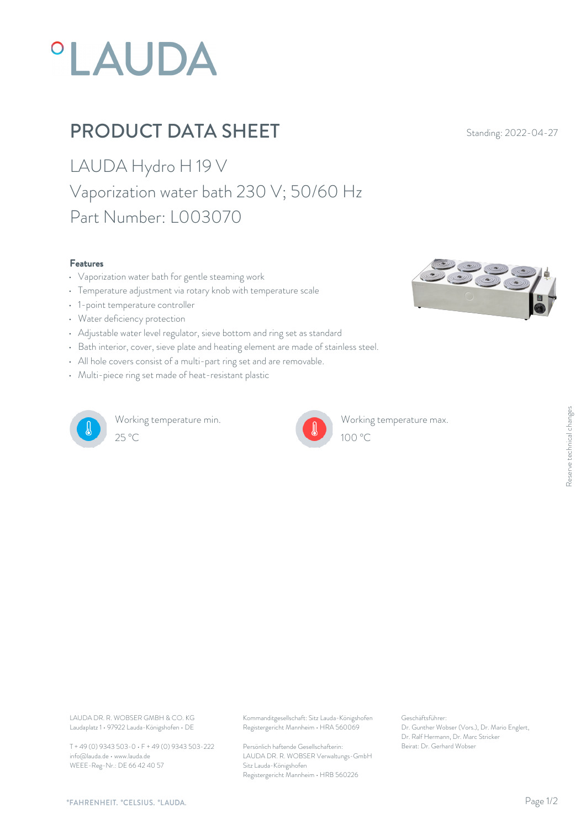# *°LAUDA*

## PRODUCT DATA SHEET Standing: 2022-04-27

LAUDA Hydro H 19 V Vaporization water bath 230 V; 50/60 Hz Part Number: L003070

#### Features

- Vaporization water bath for gentle steaming work
- 
- 1-point temperature controller
- Water deficiency protection
- Adjustable water level regulator, sieve bottom and ring set as standard
- Bath interior, cover, sieve plate and heating element are made of stainless steel.
- All hole covers consist of a multi-part ring set and are removable.
- Multi-piece ring set made of heat-resistant plastic



Working temperature min.  $25^{\circ}$ C  $100^{\circ}$ C



Working temperature max.  $100 \, \textdegree$ C and  $\frac{10}{2}$ 

• **Features**<br>• Vaporization water bath for gentle steaming work<br>• Temperature adjustment via rotary knob with temperature scale

Laudaplatz 1 • 97922 Lauda-Königshofen • DE

T + 49 (0) 9343 503-0 • F + 49 (0) 9343 503-222 info@lauda.de • www.lauda.de WEEE-Reg-Nr.: DE 66 42 40 57

LAUDA DR. R. WOBSER GMBH & CO. KG Kommanditgesellschaft: Sitz Lauda-Königshofen Geschäftsführer: Registergericht Mannheim • HRA 560069

> Persönlich haftende Gesellschafterin: Beirat: Dr. Gerhard Wobse LAUDA DR. R. WOBSER Verwaltungs-GmbH Sitz Lauda-Königshofen Registergericht Mannheim • HRB 560226

Geschäftsführer: Dr. Gunther Wobser (Vors.), Dr. Mario Englert, Dr. Ralf Hermann, Dr. Marc Stricker Beischäftsführer:<br>Beischäftsführer:<br>Dr. Gunther Wobser (Vors.), Dr. Mario Englert,<br>Dr. Ralf Hermann, Dr. Marc Stricker<br>Beirat: Dr. Gerhard Wobser

*"FAHRENHEIT. "CELSIUS. "LAUDA.*